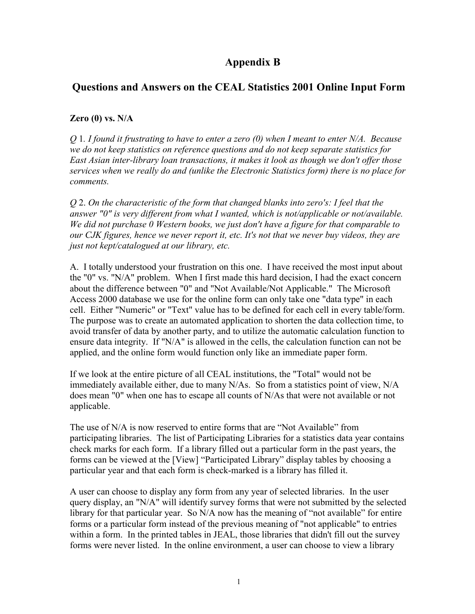# **Appendix B**

## **Questions and Answers on the CEAL Statistics 2001 Online Input Form**

#### **Zero (0) vs. N/A**

*Q* 1*. I found it frustrating to have to enter a zero (0) when I meant to enter N/A. Because we do not keep statistics on reference questions and do not keep separate statistics for East Asian inter-library loan transactions, it makes it look as though we don't offer those services when we really do and (unlike the Electronic Statistics form) there is no place for comments.* 

*Q* 2. *On the characteristic of the form that changed blanks into zero's: I feel that the answer "0" is very different from what I wanted, which is not/applicable or not/available. We did not purchase 0 Western books, we just don't have a figure for that comparable to our CJK figures, hence we never report it, etc. It's not that we never buy videos, they are just not kept/catalogued at our library, etc.* 

A. I totally understood your frustration on this one. I have received the most input about the "0" vs. "N/A" problem. When I first made this hard decision, I had the exact concern about the difference between "0" and "Not Available/Not Applicable." The Microsoft Access 2000 database we use for the online form can only take one "data type" in each cell. Either "Numeric" or "Text" value has to be defined for each cell in every table/form. The purpose was to create an automated application to shorten the data collection time, to avoid transfer of data by another party, and to utilize the automatic calculation function to ensure data integrity. If "N/A" is allowed in the cells, the calculation function can not be applied, and the online form would function only like an immediate paper form.

If we look at the entire picture of all CEAL institutions, the "Total" would not be immediately available either, due to many N/As. So from a statistics point of view, N/A does mean "0" when one has to escape all counts of N/As that were not available or not applicable.

The use of N/A is now reserved to entire forms that are "Not Available" from participating libraries. The list of Participating Libraries for a statistics data year contains check marks for each form. If a library filled out a particular form in the past years, the forms can be viewed at the [View] "Participated Library" display tables by choosing a particular year and that each form is check-marked is a library has filled it.

A user can choose to display any form from any year of selected libraries. In the user query display, an "N/A" will identify survey forms that were not submitted by the selected library for that particular year. So N/A now has the meaning of "not available" for entire forms or a particular form instead of the previous meaning of "not applicable" to entries within a form. In the printed tables in JEAL, those libraries that didn't fill out the survey forms were never listed. In the online environment, a user can choose to view a library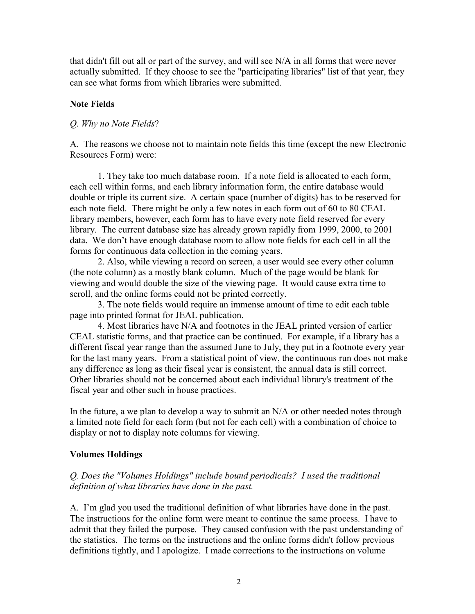that didn't fill out all or part of the survey, and will see N/A in all forms that were never actually submitted. If they choose to see the "participating libraries" list of that year, they can see what forms from which libraries were submitted.

### **Note Fields**

## *Q*. *Why no Note Fields*?

A. The reasons we choose not to maintain note fields this time (except the new Electronic Resources Form) were:

1. They take too much database room. If a note field is allocated to each form, each cell within forms, and each library information form, the entire database would double or triple its current size. A certain space (number of digits) has to be reserved for each note field. There might be only a few notes in each form out of 60 to 80 CEAL library members, however, each form has to have every note field reserved for every library. The current database size has already grown rapidly from 1999, 2000, to 2001 data. We don't have enough database room to allow note fields for each cell in all the forms for continuous data collection in the coming years.

2. Also, while viewing a record on screen, a user would see every other column (the note column) as a mostly blank column. Much of the page would be blank for viewing and would double the size of the viewing page. It would cause extra time to scroll, and the online forms could not be printed correctly.

 3. The note fields would require an immense amount of time to edit each table page into printed format for JEAL publication.

4. Most libraries have N/A and footnotes in the JEAL printed version of earlier CEAL statistic forms, and that practice can be continued. For example, if a library has a different fiscal year range than the assumed June to July, they put in a footnote every year for the last many years. From a statistical point of view, the continuous run does not make any difference as long as their fiscal year is consistent, the annual data is still correct. Other libraries should not be concerned about each individual library's treatment of the fiscal year and other such in house practices.

In the future, a we plan to develop a way to submit an N/A or other needed notes through a limited note field for each form (but not for each cell) with a combination of choice to display or not to display note columns for viewing.

## **Volumes Holdings**

## *Q. Does the "Volumes Holdings" include bound periodicals? I used the traditional definition of what libraries have done in the past.*

A. I'm glad you used the traditional definition of what libraries have done in the past. The instructions for the online form were meant to continue the same process. I have to admit that they failed the purpose. They caused confusion with the past understanding of the statistics. The terms on the instructions and the online forms didn't follow previous definitions tightly, and I apologize. I made corrections to the instructions on volume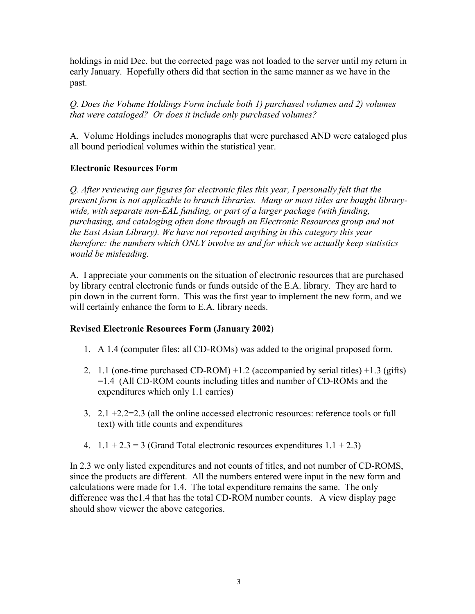holdings in mid Dec. but the corrected page was not loaded to the server until my return in early January. Hopefully others did that section in the same manner as we have in the past.

*Q. Does the Volume Holdings Form include both 1) purchased volumes and 2) volumes that were cataloged? Or does it include only purchased volumes?* 

A. Volume Holdings includes monographs that were purchased AND were cataloged plus all bound periodical volumes within the statistical year.

## **Electronic Resources Form**

*Q. After reviewing our figures for electronic files this year, I personally felt that the present form is not applicable to branch libraries. Many or most titles are bought librarywide, with separate non-EAL funding, or part of a larger package (with funding, purchasing, and cataloging often done through an Electronic Resources group and not the East Asian Library). We have not reported anything in this category this year therefore: the numbers which ONLY involve us and for which we actually keep statistics would be misleading.* 

A. I appreciate your comments on the situation of electronic resources that are purchased by library central electronic funds or funds outside of the E.A. library. They are hard to pin down in the current form. This was the first year to implement the new form, and we will certainly enhance the form to E.A. library needs.

## **Revised Electronic Resources Form (January 2002**)

- 1. A 1.4 (computer files: all CD-ROMs) was added to the original proposed form.
- 2. 1.1 (one-time purchased CD-ROM) +1.2 (accompanied by serial titles) +1.3 (gifts) =1.4 (All CD-ROM counts including titles and number of CD-ROMs and the expenditures which only 1.1 carries)
- 3. 2.1 +2.2=2.3 (all the online accessed electronic resources: reference tools or full text) with title counts and expenditures
- 4.  $1.1 + 2.3 = 3$  (Grand Total electronic resources expenditures  $1.1 + 2.3$ )

In 2.3 we only listed expenditures and not counts of titles, and not number of CD-ROMS, since the products are different. All the numbers entered were input in the new form and calculations were made for 1.4. The total expenditure remains the same. The only difference was the1.4 that has the total CD-ROM number counts. A view display page should show viewer the above categories.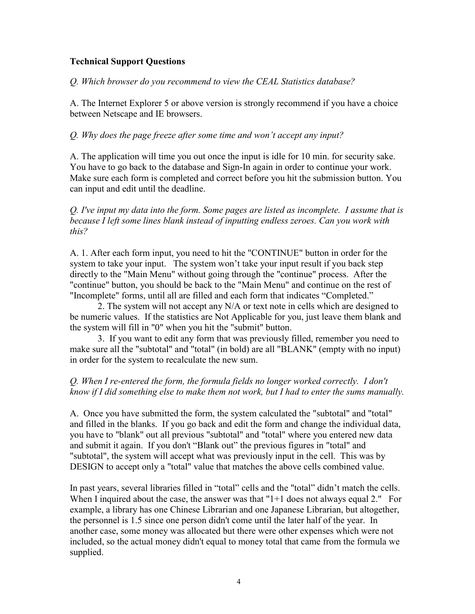#### **Technical Support Questions**

*Q. Which browser do you recommend to view the CEAL Statistics database?* 

A. The Internet Explorer 5 or above version is strongly recommend if you have a choice between Netscape and IE browsers.

#### *Q. Why does the page freeze after some time and won't accept any input?*

A. The application will time you out once the input is idle for 10 min. for security sake. You have to go back to the database and Sign-In again in order to continue your work. Make sure each form is completed and correct before you hit the submission button. You can input and edit until the deadline.

*Q. I've input my data into the form. Some pages are listed as incomplete. I assume that is because I left some lines blank instead of inputting endless zeroes. Can you work with this?* 

A. 1. After each form input, you need to hit the "CONTINUE" button in order for the system to take your input. The system won't take your input result if you back step directly to the "Main Menu" without going through the "continue" process. After the "continue" button, you should be back to the "Main Menu" and continue on the rest of "Incomplete" forms, until all are filled and each form that indicates "Completed."

 2. The system will not accept any N/A or text note in cells which are designed to be numeric values. If the statistics are Not Applicable for you, just leave them blank and the system will fill in "0" when you hit the "submit" button.

3. If you want to edit any form that was previously filled, remember you need to make sure all the "subtotal" and "total" (in bold) are all "BLANK" (empty with no input) in order for the system to recalculate the new sum.

#### *Q. When I re-entered the form, the formula fields no longer worked correctly. I don't know if I did something else to make them not work, but I had to enter the sums manually.*

A. Once you have submitted the form, the system calculated the "subtotal" and "total" and filled in the blanks. If you go back and edit the form and change the individual data, you have to "blank" out all previous "subtotal" and "total" where you entered new data and submit it again. If you don't "Blank out" the previous figures in "total" and "subtotal", the system will accept what was previously input in the cell. This was by DESIGN to accept only a "total" value that matches the above cells combined value.

In past years, several libraries filled in "total" cells and the "total" didn't match the cells. When I inquired about the case, the answer was that "1+1 does not always equal 2." For example, a library has one Chinese Librarian and one Japanese Librarian, but altogether, the personnel is 1.5 since one person didn't come until the later half of the year. In another case, some money was allocated but there were other expenses which were not included, so the actual money didn't equal to money total that came from the formula we supplied.